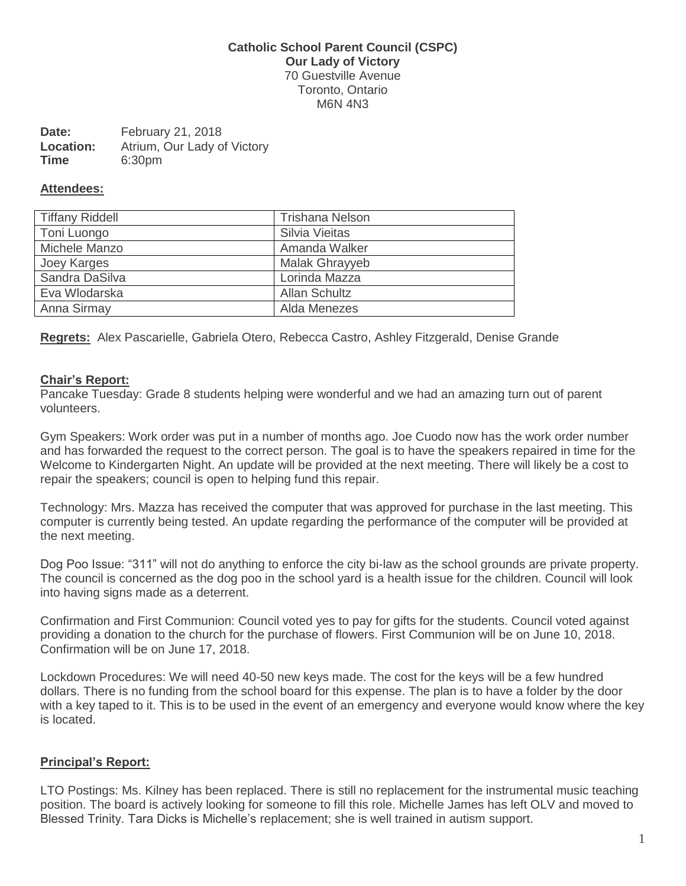### **Catholic School Parent Council (CSPC) Our Lady of Victory** 70 Guestville Avenue Toronto, Ontario M6N 4N3

| Date:       | February 21, 2018           |
|-------------|-----------------------------|
| Location:   | Atrium, Our Lady of Victory |
| <b>Time</b> | 6:30pm                      |

#### **Attendees:**

| <b>Tiffany Riddell</b> | <b>Trishana Nelson</b> |
|------------------------|------------------------|
| Toni Luongo            | Silvia Vieitas         |
| Michele Manzo          | Amanda Walker          |
| Joey Karges            | <b>Malak Ghrayyeb</b>  |
| Sandra DaSilva         | Lorinda Mazza          |
| Eva Wlodarska          | <b>Allan Schultz</b>   |
| Anna Sirmay            | Alda Menezes           |

**Regrets:** Alex Pascarielle, Gabriela Otero, Rebecca Castro, Ashley Fitzgerald, Denise Grande

### **Chair's Report:**

Pancake Tuesday: Grade 8 students helping were wonderful and we had an amazing turn out of parent volunteers.

Gym Speakers: Work order was put in a number of months ago. Joe Cuodo now has the work order number and has forwarded the request to the correct person. The goal is to have the speakers repaired in time for the Welcome to Kindergarten Night. An update will be provided at the next meeting. There will likely be a cost to repair the speakers; council is open to helping fund this repair.

Technology: Mrs. Mazza has received the computer that was approved for purchase in the last meeting. This computer is currently being tested. An update regarding the performance of the computer will be provided at the next meeting.

Dog Poo Issue: "311" will not do anything to enforce the city bi-law as the school grounds are private property. The council is concerned as the dog poo in the school yard is a health issue for the children. Council will look into having signs made as a deterrent.

Confirmation and First Communion: Council voted yes to pay for gifts for the students. Council voted against providing a donation to the church for the purchase of flowers. First Communion will be on June 10, 2018. Confirmation will be on June 17, 2018.

Lockdown Procedures: We will need 40-50 new keys made. The cost for the keys will be a few hundred dollars. There is no funding from the school board for this expense. The plan is to have a folder by the door with a key taped to it. This is to be used in the event of an emergency and everyone would know where the key is located.

### **Principal's Report:**

LTO Postings: Ms. Kilney has been replaced. There is still no replacement for the instrumental music teaching position. The board is actively looking for someone to fill this role. Michelle James has left OLV and moved to Blessed Trinity. Tara Dicks is Michelle's replacement; she is well trained in autism support.